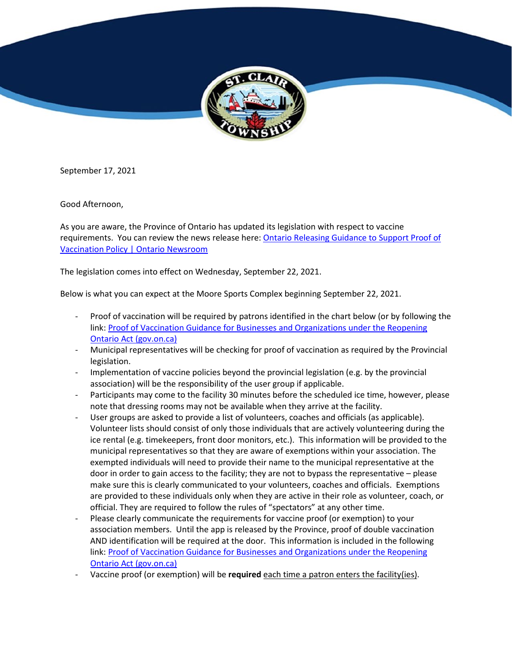

September 17, 2021

Good Afternoon,

As you are aware, the Province of Ontario has updated its legislation with respect to vaccine requirements. You can review the news release here: [Ontario Releasing Guidance to Support Proof of](https://can01.safelinks.protection.outlook.com/?url=https%3A%2F%2Flinkprotect.cudasvc.com%2Furl%3Fa%3Dhttps%253a%252f%252fnews.ontario.ca%252fen%252frelease%252f1000807%252fontario-releasing-guidance-to-support-proof-of-vaccination-policy%26c%3DE%2C1%2CXrfZTOOIZd5FK-i27mFj7RoHM-OhtF4L0kHURtqNZdiJ4t6MCpgsmyNY2zoXlUVyelFQ4ePNBJvO5pf0FIhBJMs1UmkXsF0y8KbEEvwrrc8j9_FQ6R0%2C%26typo%3D1&data=04%7C01%7Csknight%40stclairtownship.ca%7C354cc943fe4d47153cc208d9794e5c50%7C8e3168f4305c4302a6baa21371afdcd6%7C1%7C0%7C637674199857803850%7CUnknown%7CTWFpbGZsb3d8eyJWIjoiMC4wLjAwMDAiLCJQIjoiV2luMzIiLCJBTiI6Ik1haWwiLCJXVCI6Mn0%3D%7C2000&sdata=PLzptIhkwPN0vptv%2F7%2BfT85%2Br8o2qwmn3bz4n1sCrmk%3D&reserved=0)  [Vaccination Policy | Ontario Newsroom](https://can01.safelinks.protection.outlook.com/?url=https%3A%2F%2Flinkprotect.cudasvc.com%2Furl%3Fa%3Dhttps%253a%252f%252fnews.ontario.ca%252fen%252frelease%252f1000807%252fontario-releasing-guidance-to-support-proof-of-vaccination-policy%26c%3DE%2C1%2CXrfZTOOIZd5FK-i27mFj7RoHM-OhtF4L0kHURtqNZdiJ4t6MCpgsmyNY2zoXlUVyelFQ4ePNBJvO5pf0FIhBJMs1UmkXsF0y8KbEEvwrrc8j9_FQ6R0%2C%26typo%3D1&data=04%7C01%7Csknight%40stclairtownship.ca%7C354cc943fe4d47153cc208d9794e5c50%7C8e3168f4305c4302a6baa21371afdcd6%7C1%7C0%7C637674199857803850%7CUnknown%7CTWFpbGZsb3d8eyJWIjoiMC4wLjAwMDAiLCJQIjoiV2luMzIiLCJBTiI6Ik1haWwiLCJXVCI6Mn0%3D%7C2000&sdata=PLzptIhkwPN0vptv%2F7%2BfT85%2Br8o2qwmn3bz4n1sCrmk%3D&reserved=0)

The legislation comes into effect on Wednesday, September 22, 2021.

Below is what you can expect at the Moore Sports Complex beginning September 22, 2021.

- Proof of vaccination will be required by patrons identified in the chart below (or by following the link: [Proof of Vaccination Guidance for Businesses and Organizations under the Reopening](https://can01.safelinks.protection.outlook.com/?url=https%3A%2F%2Flinkprotect.cudasvc.com%2Furl%3Fa%3Dhttps%253a%252f%252fwww.health.gov.on.ca%252fen%252fpro%252fprograms%252fpublichealth%252fcoronavirus%252fdocs%252fguidance_proof_of_vaccination_for_businesses_and_organizations.pdf%26c%3DE%2C1%2Ck662WgO-owuS85nc5alwKhwu9g5AiUNZw3XeZebUEeFNR_SuFLVT3v6t0lpi79Yci7NN0epF5Wkwr1hnEX7UqBJlwz8yRWr7q9TZvOqYTA0%2C%26typo%3D1&data=04%7C01%7Csknight%40stclairtownship.ca%7C354cc943fe4d47153cc208d9794e5c50%7C8e3168f4305c4302a6baa21371afdcd6%7C1%7C0%7C637674199857813845%7CUnknown%7CTWFpbGZsb3d8eyJWIjoiMC4wLjAwMDAiLCJQIjoiV2luMzIiLCJBTiI6Ik1haWwiLCJXVCI6Mn0%3D%7C2000&sdata=a1OG%2F4wvs0D%2FYQLwetGlo0272go%2FlVYiFjPjOgryJBs%3D&reserved=0)  [Ontario Act \(gov.on.ca\)](https://can01.safelinks.protection.outlook.com/?url=https%3A%2F%2Flinkprotect.cudasvc.com%2Furl%3Fa%3Dhttps%253a%252f%252fwww.health.gov.on.ca%252fen%252fpro%252fprograms%252fpublichealth%252fcoronavirus%252fdocs%252fguidance_proof_of_vaccination_for_businesses_and_organizations.pdf%26c%3DE%2C1%2Ck662WgO-owuS85nc5alwKhwu9g5AiUNZw3XeZebUEeFNR_SuFLVT3v6t0lpi79Yci7NN0epF5Wkwr1hnEX7UqBJlwz8yRWr7q9TZvOqYTA0%2C%26typo%3D1&data=04%7C01%7Csknight%40stclairtownship.ca%7C354cc943fe4d47153cc208d9794e5c50%7C8e3168f4305c4302a6baa21371afdcd6%7C1%7C0%7C637674199857813845%7CUnknown%7CTWFpbGZsb3d8eyJWIjoiMC4wLjAwMDAiLCJQIjoiV2luMzIiLCJBTiI6Ik1haWwiLCJXVCI6Mn0%3D%7C2000&sdata=a1OG%2F4wvs0D%2FYQLwetGlo0272go%2FlVYiFjPjOgryJBs%3D&reserved=0)
- Municipal representatives will be checking for proof of vaccination as required by the Provincial legislation.
- Implementation of vaccine policies beyond the provincial legislation (e.g. by the provincial association) will be the responsibility of the user group if applicable.
- Participants may come to the facility 30 minutes before the scheduled ice time, however, please note that dressing rooms may not be available when they arrive at the facility.
- User groups are asked to provide a list of volunteers, coaches and officials (as applicable). Volunteer lists should consist of only those individuals that are actively volunteering during the ice rental (e.g. timekeepers, front door monitors, etc.). This information will be provided to the municipal representatives so that they are aware of exemptions within your association. The exempted individuals will need to provide their name to the municipal representative at the door in order to gain access to the facility; they are not to bypass the representative – please make sure this is clearly communicated to your volunteers, coaches and officials. Exemptions are provided to these individuals only when they are active in their role as volunteer, coach, or official. They are required to follow the rules of "spectators" at any other time.
- Please clearly communicate the requirements for vaccine proof (or exemption) to your association members. Until the app is released by the Province, proof of double vaccination AND identification will be required at the door. This information is included in the following link: [Proof of Vaccination Guidance for Businesses and Organizations under the Reopening](https://can01.safelinks.protection.outlook.com/?url=https%3A%2F%2Flinkprotect.cudasvc.com%2Furl%3Fa%3Dhttps%253a%252f%252fwww.health.gov.on.ca%252fen%252fpro%252fprograms%252fpublichealth%252fcoronavirus%252fdocs%252fguidance_proof_of_vaccination_for_businesses_and_organizations.pdf%26c%3DE%2C1%2CMA_X7XMotvKWpSQZpt2IRIb2IKLVL1Pc8ixF7bpm2-wmyqwg-xD-tva4NP-XUVEFfuXupttfISlULbfpoVlR3EeUHGKSJhlSvGbkRiTUqTIe5dc4MaWVQ7sWTIQ%2C%26typo%3D1&data=04%7C01%7Csknight%40stclairtownship.ca%7C354cc943fe4d47153cc208d9794e5c50%7C8e3168f4305c4302a6baa21371afdcd6%7C1%7C0%7C637674199857823840%7CUnknown%7CTWFpbGZsb3d8eyJWIjoiMC4wLjAwMDAiLCJQIjoiV2luMzIiLCJBTiI6Ik1haWwiLCJXVCI6Mn0%3D%7C2000&sdata=JsyAhVXsmorfyMMExJREzr3PpD601Ozby9xrM7eX3dE%3D&reserved=0)  [Ontario Act \(gov.on.ca\)](https://can01.safelinks.protection.outlook.com/?url=https%3A%2F%2Flinkprotect.cudasvc.com%2Furl%3Fa%3Dhttps%253a%252f%252fwww.health.gov.on.ca%252fen%252fpro%252fprograms%252fpublichealth%252fcoronavirus%252fdocs%252fguidance_proof_of_vaccination_for_businesses_and_organizations.pdf%26c%3DE%2C1%2CMA_X7XMotvKWpSQZpt2IRIb2IKLVL1Pc8ixF7bpm2-wmyqwg-xD-tva4NP-XUVEFfuXupttfISlULbfpoVlR3EeUHGKSJhlSvGbkRiTUqTIe5dc4MaWVQ7sWTIQ%2C%26typo%3D1&data=04%7C01%7Csknight%40stclairtownship.ca%7C354cc943fe4d47153cc208d9794e5c50%7C8e3168f4305c4302a6baa21371afdcd6%7C1%7C0%7C637674199857823840%7CUnknown%7CTWFpbGZsb3d8eyJWIjoiMC4wLjAwMDAiLCJQIjoiV2luMzIiLCJBTiI6Ik1haWwiLCJXVCI6Mn0%3D%7C2000&sdata=JsyAhVXsmorfyMMExJREzr3PpD601Ozby9xrM7eX3dE%3D&reserved=0)
- Vaccine proof (or exemption) will be **required** each time a patron enters the facility(ies).